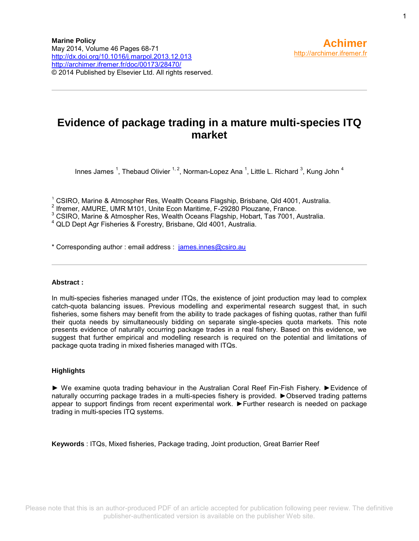# **Evidence of package trading in a mature multi-species ITQ market**

Innes James <sup>1</sup>, Thebaud Olivier <sup>1, 2</sup>, Norman-Lopez Ana <sup>1</sup>, Little L. Richard <sup>3</sup>, Kung John <sup>4</sup>

<sup>1</sup> CSIRO, Marine & Atmospher Res, Wealth Oceans Flagship, Brisbane, Qld 4001, Australia.

<sup>2</sup> Ifremer, AMURE, UMR M101, Unite Econ Maritime, F-29280 Plouzane, France.

<sup>3</sup> CSIRO, Marine & Atmospher Res, Wealth Oceans Flagship, Hobart, Tas 7001, Australia.

<sup>4</sup> QLD Dept Agr Fisheries & Forestry, Brisbane, Qld 4001, Australia.

\* Corresponding author : email address : [james.innes@csiro.au](file:///C:/birt/First_Page_Generation/Exports/james.innes@csiro.au)

## **Abstract :**

In multi-species fisheries managed under ITQs, the existence of joint production may lead to complex catch-quota balancing issues. Previous modelling and experimental research suggest that, in such fisheries, some fishers may benefit from the ability to trade packages of fishing quotas, rather than fulfil their quota needs by simultaneously bidding on separate single-species quota markets. This note presents evidence of naturally occurring package trades in a real fishery. Based on this evidence, we suggest that further empirical and modelling research is required on the potential and limitations of package quota trading in mixed fisheries managed with ITQs.

#### **Highlights**

► We examine quota trading behaviour in the Australian Coral Reef Fin-Fish Fishery. ►Evidence of naturally occurring package trades in a multi-species fishery is provided. ►Observed trading patterns appear to support findings from recent experimental work. ►Further research is needed on package trading in multi-species ITQ systems.

**Keywords** : ITQs, Mixed fisheries, Package trading, Joint production, Great Barrier Reef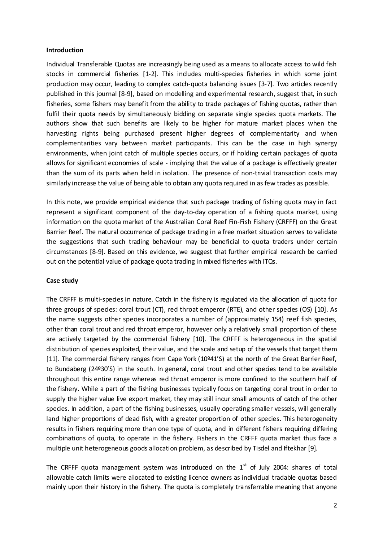#### **Introduction**

Individual Transferable Quotas are increasingly being used as a means to allocate access to wild fish stocks in commercial fisheries [1-2]. This indudes multi-species fisheries in which some joint production may occur, leading to complex catch-quota balancing issues [3-7]. Two articles recently published in this journal [8-9], based on modelling and experimental research, suggest that, in such fisheries, some fishers may benefit from the ability to trade packages of fishing quotas, rather than fulfil their quota needs by simultaneously bidding on separate single species quota markets. The authors show that such benefits are likely to be higher for mature market places when the harvesting rights being purchased present higher degrees of complementarity and when complementarities vary between market participants. This can be the case in high synergy environments, when joint catch of multiple species occurs, or if holding certain packages of quota allows for significant economies of scale - implying that the value of a package is effectively greater than the sum of its parts when held in isolation. The presence of non-trivial transaction costs may similarly increase the value of being able to obtain any quota required in as few trades as possible.

In this note, we provide empirical evidence that such package trading of fishing quota may in fact represent a significant component of the day-to-day operation of a fishing quota market, using information on the quota market of the Australian Coral Reef Fin-Fish Fishery (CRFFF) on the Great Barrier Reef. The natural occurrence of package trading in a free market situation serves to validate the suggestions that such trading behaviour may be beneficial to quota traders under certain circumstances [8-9]. Based on this evidence, we suggest that further empirical research be carried out on the potential value of package quota trading in mixed fisheries with ITQs.

### **Case study**

The CRFFF is multi-species in nature. Catch in the fishery is regulated via the allocation of quota for three groups of species: coral trout (CT), red throat emperor (RTE), and other species (OS) [10]. As the name suggests other species incorporates a number of (approximately 154) reef fish species, other than coral trout and red throat emperor, however only a relatively small proportion of these are actively targeted by the commercial fishery [10]. The CRFFF is heterogeneous in the spatial distribution of species exploited, their value, and the scale and setup of the vessels that target them [11]. The commercial fishery ranges from Cape York (10°41'S) at the north of the Great Barrier Reef, to Bundaberg (24º30'S) in the south. In general, coral trout and other species tend to be available throughout this entire range whereas red throat emperor is more confined to the southern half of the fishery. While a part of the fishing businesses typically focus on targeting coral trout in order to supply the higher value live export market, they may still incur small amounts of catch of the other species. In addition, a part of the fishing businesses, usually operating smaller vessels, will generally land higher proportions of dead fish, with a greater proportion of other species. This heterogeneity results in fishers requiring more than one type of quota, and in different fishers requiring differing combinations of quota, to operate in the fishery. Fishers in the CRFFF quota market thus face a multiple unit heterogeneous goods allocation problem, as described by Tisdel and Iftekhar [9].

The CRFFF quota management system was introduced on the  $1<sup>st</sup>$  of July 2004: shares of total allowable catch limits were allocated to existing licence owners as individual tradable quotas based mainly upon their history in the fishery. The quota is completely transferrable meaning that anyone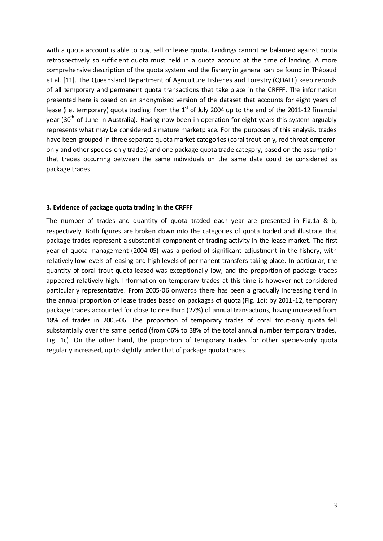with a quota account is able to buy, sell or lease quota. Landings cannot be balanced against quota retrospectively so sufficient quota must held in a quota account at the time of landing. A more comprehensive description of the quota system and the fishery in general can be found in Thébaud et al. [11]. The Queensland Department of Agriculture Fisheries and Forestry (QDAFF) keep records of all temporary and permanent quota transactions that take place in the CRFFF. The information presented here is based on an anonymised version of the dataset that accounts for eight years of lease (i.e. temporary) quota trading: from the  $1<sup>st</sup>$  of July 2004 up to the end of the 2011-12 financial year (30<sup>th</sup> of June in Australia). Having now been in operation for eight years this system arguably represents what may be considered a mature marketplace. For the purposes of this analysis, trades have been grouped in three separate quota market categories (coral trout-only, red throat emperoronly and other species-only trades) and one package quota trade category, based on the assumption that trades occurring between the same individuals on the same date could be considered as package trades.

### **3. Evidence of package quota trading in the CRFFF**

The number of trades and quantity of quota traded each year are presented in Fig.1a & b, respectively. Both figures are broken down into the categories of quota traded and illustrate that package trades represent a substantial component of trading activity in the lease market. The first year of quota management (2004-05) was a period of significant adjustment in the fishery, with relatively low levels of leasing and high levels of permanent transfers taking place. In particular, the quantity of coral trout quota leased was exceptionally low, and the proportion of package trades appeared relatively high. Information on temporary trades at this time is however not considered particularly representative. From 2005-06 onwards there has been a gradually increasing trend in the annual proportion of lease trades based on packages of quota (Fig. 1c): by 2011-12, temporary package trades accounted for close to one third (27%) of annual transactions, having increased from 18% of trades in 2005-06. The proportion of temporary trades of coral trout-only quota fell substantially over the same period (from 66% to 38% of the total annual number temporary trades, Fig. 1c). On the other hand, the proportion of temporary trades for other species-only quota regularly increased, up to slightly under that of package quota trades.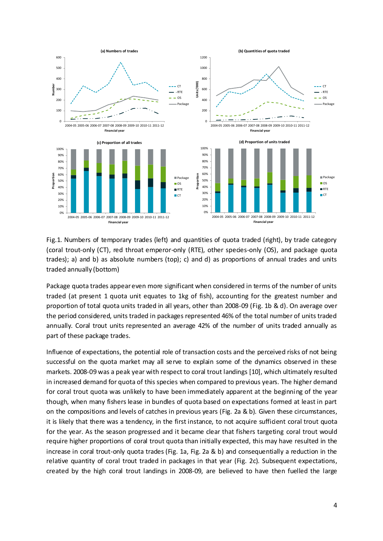

Fig.1. Numbers of temporary trades (left) and quantities of quota traded (right), by trade category (coral trout-only (CT), red throat emperor-only (RTE), other species-only (OS), and package quota trades); a) and b) as absolute numbers (top); c) and d) as proportions of annual trades and units traded annually (bottom)

Package quota trades appear even more significant when considered in terms of the number of units traded (at present 1 quota unit equates to 1kg of fish), accounting for the greatest number and proportion of total quota units traded in all years, other than 2008-09 (Fig. 1b & d). On average over the period considered, units traded in packages represented 46% of the total number of units traded annually. Coral trout units represented an average 42% of the number of units traded annually as part of these package trades.

Influence of expectations, the potential role of transaction costs and the perceived risks of not being successful on the quota market may all serve to explain some of the dynamics observed in these markets. 2008-09 was a peak year with respect to coral trout landings [10], which ultimately resulted in increased demand for quota of this species when compared to previous years. The higher demand for coral trout quota was unlikely to have been immediately apparent at the beginning of the year though, when many fishers lease in bundles of quota based on expectations formed at least in part on the compositions and levels of catches in previous years (Fig. 2a & b). Given these circumstances, it is likely that there was a tendency, in the first instance, to not acquire sufficient coral trout quota for the year. As the season progressed and it became clear that fishers targeting coral trout would require higher proportions of coral trout quota than initially expected, this may have resulted in the increase in coral trout-only quota trades (Fig. 1a, Fig. 2a & b) and consequentially a reduction in the relative quantity of coral trout traded in packages in that year (Fig. 2c). Subsequent expectations, created by the high coral trout landings in 2008-09, are believed to have then fuelled the large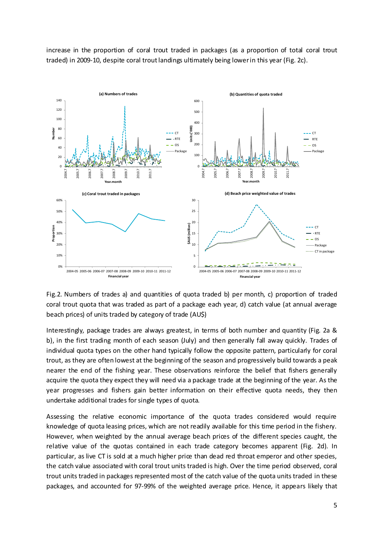

increase in the proportion of coral trout traded in packages (as a proportion of total coral trout traded) in 2009-10, despite coral trout landings ultimately being lower in this year (Fig. 2c).

Fig.2. Numbers of trades a) and quantities of quota traded b) per month, c) proportion of traded coral trout quota that was traded as part of a package each year, d) catch value (at annual average beach prices) of units traded by category of trade (AU\$)

Interestingly, package trades are always greatest, in terms of both number and quantity (Fig. 2a & b), in the first trading month of each season (July) and then generally fall away quickly. Trades of individual quota types on the other hand typically follow the opposite pattern, particularly for coral trout, as they are often lowest at the beginning of the season and progressively build towards a peak nearer the end of the fishing year. These observations reinforce the belief that fishers generally acquire the quota they expect they will need via a package trade at the beginning of the year. As the year progresses and fishers gain better information on their effective quota needs, they then undertake additional trades for single types of quota.

Assessing the relative economic importance of the quota trades considered would require knowledge of quota leasing prices, which are not readily available for this time period in the fishery. However, when weighted by the annual average beach prices of the different species caught, the relative value of the quotas contained in each trade category becomes apparent (Fig. 2d). In particular, as live CT is sold at a much higher price than dead red throat emperor and other species, the catch value associated with coral trout units traded is high. Over the time period observed, coral trout units traded in packages represented most of the catch value of the quota units traded in these packages, and accounted for 97-99% of the weighted average price. Hence, it appears likely that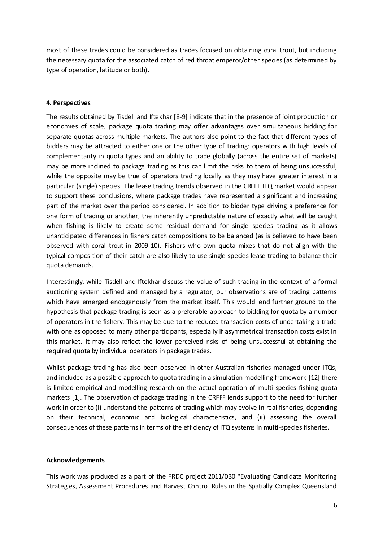most of these trades could be considered as trades focused on obtaining coral trout, but including the necessary quota for the associated catch of red throat emperor/other species (as determined by type of operation, latitude or both).

## **4. Perspectives**

The results obtained by Tisdell and Iftekhar [8-9] indicate that in the presence of joint production or economies of scale, package quota trading may offer advantages over simultaneous bidding for separate quotas across multiple markets. The authors also point to the fact that different types of bidders may be attracted to either one or the other type of trading: operators with high levels of complementarity in quota types and an ability to trade globally (across the entire set of markets) may be more inclined to package trading as this can limit the risks to them of being unsuccessful, while the opposite may be true of operators trading locally as they may have greater interest in a particular (single) species. The lease trading trends observed in the CRFFF ITQ market would appear to support these condusions, where package trades have represented a significant and increasing part of the market over the period considered. In addition to bidder type driving a preference for one form of trading or another, the inherently unpredictable nature of exactly what will be caught when fishing is likely to create some residual demand for single species trading as it allows unanticipated differences in fishers catch compositions to be balanced (as is believed to have been observed with coral trout in 2009-10). Fishers who own quota mixes that do not align with the typical composition of their catch are also likely to use single species lease trading to balance their quota demands.

Interestingly, while Tisdell and Iftekhar discuss the value of such trading in the context of a formal auctioning system defined and managed by a regulator, our observations are of trading patterns which have emerged endogenously from the market itself. This would lend further ground to the hypothesis that package trading is seen as a preferable approach to bidding for quota by a number of operators in the fishery. This may be due to the reduced transaction costs of undertaking a trade with one as opposed to many other participants, especially if asymmetrical transaction costs exist in this market. It may also reflect the lower perceived risks of being unsuccessful at obtaining the required quota by individual operators in package trades.

Whilst package trading has also been observed in other Australian fisheries managed under ITQs, and included as a possible approach to quota trading in a simulation modelling framework [12] there is limited empirical and modelling research on the actual operation of multi-species fishing quota markets [1]. The observation of package trading in the CRFFF lends support to the need for further work in order to (i) understand the patterns of trading which may evolve in real fisheries, depending on their technical, economic and biological characteristics, and (ii) assessing the overall consequences of these patterns in terms of the efficiency of ITQ systems in multi -species fisheries.

### **Acknowledgements**

This work was produced as a part of the FRDC project 2011/030 "Evaluating Candidate Monitoring Strategies, Assessment Procedures and Harvest Control Rules in the Spatially Complex Queensland